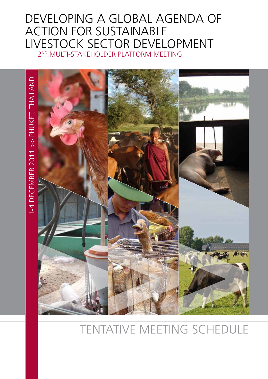## Developing a Global Agenda of Action for Sustainable Livestock Sector Development 2nd Multi-Stakeholder Platform meeting



# Tentative meeting schedule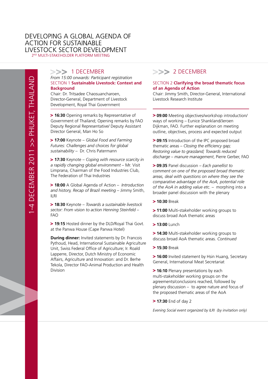## DEVELOPING A GLOBAL AGENDA OF **ACTION FOR SUSTAINABLE** LIVESTOCK SECTOR DEVELOPMENT

2<sup>ND</sup> MULTI-STAKEHOLDER PLATFORM MEETING

### >>> 1 DECEMBER

#### *From 15:00 onwards: Participant registration*  Section 1 **Sustainable Livestock: Context and Background**

Chair: Dr. Tritsadee Chaosuancharoen, Director-General, Department of Livestock Development, Royal Thai Government

**> 16:30** Opening remarks by Representative of Government of Thailand; Opening remarks by FAO Deputy Regional Representative/ Deputy Assistant Director General, Man Ho So

 **17:00** Keynote – *Global Food and Farming Futures: Challenges and choices for global sustainability* – Dr. Chris Patermann

 **17:30** Keynote – *Coping with resource scarcity in a rapidly changing global environment* – Mr. Visit Limprana, Chairman of the Food Industries Club, The Federation of Thai Industries

 **18:00** A Global Agenda of Action – *Introduction and history, Recap of Brazil meeting* – Jimmy Smith, ILRI

 **18:30** Keynote – *Towards a sustainable livestock sector: From vision to action Henning Steinfeld* – FAO

 **19:15** Hosted dinner by the DLD/Royal Thai Govt. at the Panwa House (Cape Panwa Hotel)

**During dinner:** Invited statements by Dr. Francois Pythoud, Head, International Sustainable Agriculture Unit, Swiss Federal Office of Agriculture; Ir. Roald Lapperre, Director, Dutch Ministry of Economic Affairs, Agriculture and Innovation: and Dr. Berhe Tekola, Director FAO-Animal Production and Health Division

## >>> 2 DECEMBER

#### Section 2 **Clarifying the broad thematic focus of an Agenda of Action**

Chair: Jimmy Smith, Director-General, International Livestock Research Institute

 **09:00** Meeting objectives/workshop introduction/ ways of working – Eunice Shankland/Jeroen Dijkman, FAO. Further explanation on meeting outline, objectives, process and expected output

**> 09:15** Introduction of the IPC proposed broad thematic areas – *Closing the efficiency gap; Restoring value to grassland; Towards reduced discharge* – *manure management*, Pierre Gerber, FAO

 **09:35** Panel discussion – *Each panellist to comment on one of the proposed broad thematic areas, deal with questions on where they see the comparative advantage of the AoA, potential role of the AoA in adding value etc.* – morphing into a broader panel discussion with the plenary

 **10:30** Break

**> 11:00** Multi-stakeholder working groups to discuss broad AoA thematic areas

 **13:00** Lunch

**> 14:30** Multi-stakeholder working groups to discuss broad AoA thematic areas. *Continued*

 **15:30** Break

**> 16:00** Invited statement by Hsin Huang, Secretary General, International Meat Secretariat

 **> 16:10** Plenary presentations by each multi-stakeholder working groups on the agreements/conclusions reached, followed by plenary discussion – to agree nature and focus of the proposed thematic areas of the AoA

 **17:30** End of day 2

*Evening Social event organized by ILRI (by invitation only)*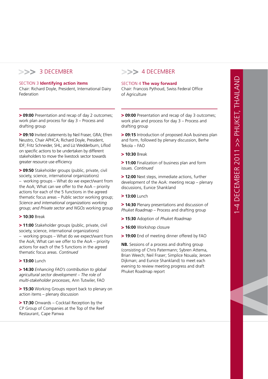## >>> 3 DECEMBER

#### Section 3 **Identifying action items**

Chair: Richard Doyle, President, International Dairy Federation

**> 09:00** Presentation and recap of day 2 outcomes; work plan and process for day 3 – Process and drafting group

**> 09:10** Invited statements by Neil Fraser, GRA; Efren Neustro, Chair APHCA; Richard Doyle, President, IDF; Fritz Schneider, SHL; and Liz Wedderburn, Liflod on specific actions to be undertaken by different stakeholders to move the livestock sector towards greater resource use efficiency

 **09:50** Stakeholder groups (public, private, civil society, science, international organizations) – working groups – What do we expect/want from the AoA; What can we offer to the AoA – priority actions for each of the 5 functions in the agreed thematic focus areas – Public sector working group; *Science and international organizations working group; and Private sector and NGOs* working group

 **10:30** Break

**> 11:00** Stakeholder groups (public, private, civil society, science, international organizations) – working groups – What do we expect/want from the AoA; What can we offer to the AoA – priority actions for each of the 5 functions in the agreed thematic focus areas. *Continued*

 **13:00** Lunch

 **14:30** *Enhancing FAO's contribution to global agricultural sector development – The role of multi-stakeholder processes*, Ann Tutwiler, FAO

**> 15:30** Working Groups report back to plenary on action items – plenary discussion

**> 17:30** Onwards – Cocktail Reception by the CP Group of Companies at the Top of the Reef Restaurant, Cape Panwa

## >>> 4 DECEMBER

#### Section 4 **The way forward**

Chair: Francois Pythoud, Swiss Federal Office of Agriculture

**> 09:00** Presentation and recap of day 3 outcomes; work plan and process for day 3 – Process and drafting group

**> 09:15** Introduction of proposed AoA business plan and form, followed by plenary discussion, Berhe Tekola – FAO

 **10:30** Break

 $>$  **11:00** Finalization of business plan and form issues. *Continued*

 **12:00** Next steps, immediate actions, further development of the AoA: meeting recap – plenary discussions, Eunice Shankland

 **13:00** Lunch

**> 14:30** Plenary presentations and discussion of *Phuket Roadmap* – Process and drafting group

- **15:30** Adoption of *Phuket Roadmap*
- **16:00** Workshop closure
- **> 19:00** End of meeting dinner offered by FAO

**NB.** Sessions of a process and drafting group (consisting of Chris Patermann; Sybren Attema, Brian Weech; Neil Fraser; Simplice Nouala; Jeroen Dijkman; and Eunice Shankland) to meet each evening to review meeting progress and draft Phuket Roadmap report